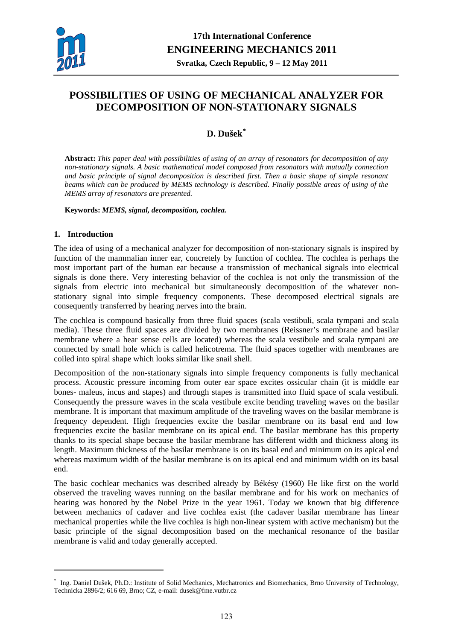

# **POSSIBILITIES OF USING OF MECHANICAL ANALYZER FOR DECOMPOSITION OF NON-STATIONARY SIGNALS**

# **D. Dušek[\\*](#page-0-0)**

**Abstract:** *This paper deal with possibilities of using of an array of resonators for decomposition of any non-stationary signals. A basic mathematical model composed from resonators with mutually connection and basic principle of signal decomposition is described first. Then a basic shape of simple resonant beams which can be produced by MEMS technology is described. Finally possible areas of using of the MEMS array of resonators are presented.* 

**Keywords:** *MEMS, signal, decomposition, cochlea.* 

# **1. Introduction**

<u>.</u>

The idea of using of a mechanical analyzer for decomposition of non-stationary signals is inspired by function of the mammalian inner ear, concretely by function of cochlea. The cochlea is perhaps the most important part of the human ear because a transmission of mechanical signals into electrical signals is done there. Very interesting behavior of the cochlea is not only the transmission of the signals from electric into mechanical but simultaneously decomposition of the whatever nonstationary signal into simple frequency components. These decomposed electrical signals are consequently transferred by hearing nerves into the brain.

The cochlea is compound basically from three fluid spaces (scala vestibuli, scala tympani and scala media). These three fluid spaces are divided by two membranes (Reissner's membrane and basilar membrane where a hear sense cells are located) whereas the scala vestibule and scala tympani are connected by small hole which is called helicotrema. The fluid spaces together with membranes are coiled into spiral shape which looks similar like snail shell.

Decomposition of the non-stationary signals into simple frequency components is fully mechanical process. Acoustic pressure incoming from outer ear space excites ossicular chain (it is middle ear bones- maleus, incus and stapes) and through stapes is transmitted into fluid space of scala vestibuli. Consequently the pressure waves in the scala vestibule excite bending traveling waves on the basilar membrane. It is important that maximum amplitude of the traveling waves on the basilar membrane is frequency dependent. High frequencies excite the basilar membrane on its basal end and low frequencies excite the basilar membrane on its apical end. The basilar membrane has this property thanks to its special shape because the basilar membrane has different width and thickness along its length. Maximum thickness of the basilar membrane is on its basal end and minimum on its apical end whereas maximum width of the basilar membrane is on its apical end and minimum width on its basal end.

The basic cochlear mechanics was described already by Békésy (1960) He like first on the world observed the traveling waves running on the basilar membrane and for his work on mechanics of hearing was honored by the Nobel Prize in the year 1961. Today we known that big difference between mechanics of cadaver and live cochlea exist (the cadaver basilar membrane has linear mechanical properties while the live cochlea is high non-linear system with active mechanism) but the basic principle of the signal decomposition based on the mechanical resonance of the basilar membrane is valid and today generally accepted.

<span id="page-0-0"></span><sup>\*</sup> Ing. Daniel Dušek, Ph.D.: Institute of Solid Mechanics, Mechatronics and Biomechanics, Brno University of Technology, Technicka 2896/2; 616 69, Brno; CZ, e-mail: dusek@fme.vutbr.cz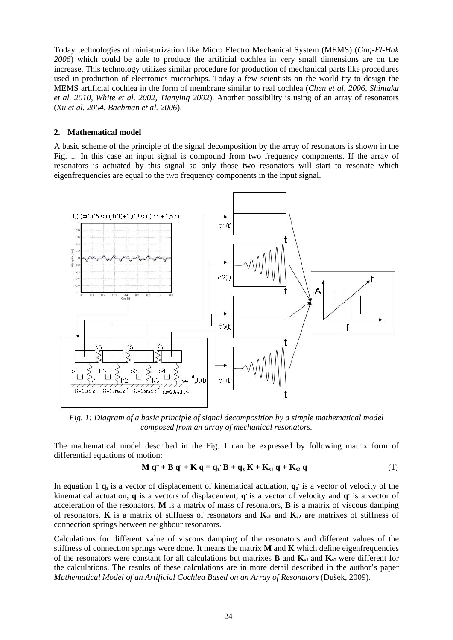Today technologies of miniaturization like Micro Electro Mechanical System (MEMS) (*Gag-El-Hak 2006*) which could be able to produce the artificial cochlea in very small dimensions are on the increase. This technology utilizes similar procedure for production of mechanical parts like procedures used in production of electronics microchips. Today a few scientists on the world try to design the MEMS artificial cochlea in the form of membrane similar to real cochlea (*Chen et al, 2006, Shintaku et al. 2010, White et al. 2002, Tianying 2002*). Another possibility is using of an array of resonators (*Xu et al. 2004, Bachman et al. 2006*).

# **2. Mathematical model**

A basic scheme of the principle of the signal decomposition by the array of resonators is shown in the Fig. 1. In this case an input signal is compound from two frequency components. If the array of resonators is actuated by this signal so only those two resonators will start to resonate which eigenfrequencies are equal to the two frequency components in the input signal.



*Fig. 1: Diagram of a basic principle of signal decomposition by a simple mathematical model composed from an array of mechanical resonators.* 

The mathematical model described in the Fig. 1 can be expressed by following matrix form of differential equations of motion:

$$
\mathbf{M} \mathbf{q}^{\cdot\cdot} + \mathbf{B} \mathbf{q}^{\cdot} + \mathbf{K} \mathbf{q} = \mathbf{q}_z \mathbf{B} + \mathbf{q}_z \mathbf{K} + \mathbf{K}_{s1} \mathbf{q} + \mathbf{K}_{s2} \mathbf{q}
$$
 (1)

In equation 1  $\mathbf{q}_z$  is a vector of displacement of kinematical actuation,  $\mathbf{q}_z$  is a vector of velocity of the kinematical actuation, **q** is a vectors of displacement, **q.** is a vector of velocity and **q.** is a vector of acceleration of the resonators. **M** is a matrix of mass of resonators, **B** is a matrix of viscous damping of resonators, **K** is a matrix of stiffness of resonators and  $K_{s1}$  and  $K_{s2}$  are matrixes of stiffness of connection springs between neighbour resonators.

Calculations for different value of viscous damping of the resonators and different values of the stiffness of connection springs were done. It means the matrix **M** and **K** which define eigenfrequencies of the resonators were constant for all calculations but matrixes **B** and  $K_{s1}$  and  $K_{s2}$  were different for the calculations. The results of these calculations are in more detail described in the author's paper *Mathematical Model of an Artificial Cochlea Based on an Array of Resonators* (Dušek, 2009).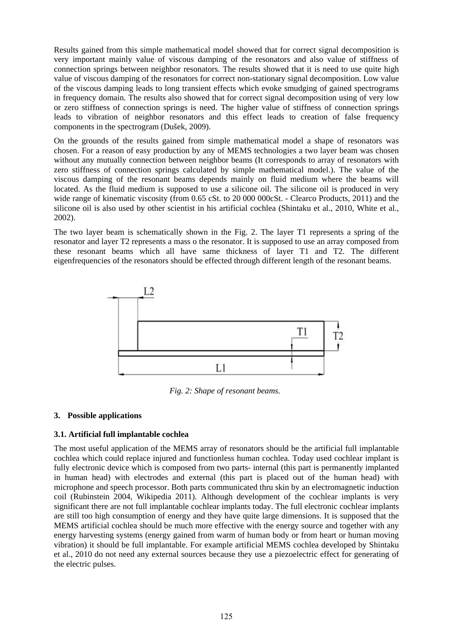Results gained from this simple mathematical model showed that for correct signal decomposition is very important mainly value of viscous damping of the resonators and also value of stiffness of connection springs between neighbor resonators. The results showed that it is need to use quite high value of viscous damping of the resonators for correct non-stationary signal decomposition. Low value of the viscous damping leads to long transient effects which evoke smudging of gained spectrograms in frequency domain. The results also showed that for correct signal decomposition using of very low or zero stiffness of connection springs is need. The higher value of stiffness of connection springs leads to vibration of neighbor resonators and this effect leads to creation of false frequency components in the spectrogram (Dušek, 2009).

On the grounds of the results gained from simple mathematical model a shape of resonators was chosen. For a reason of easy production by any of MEMS technologies a two layer beam was chosen without any mutually connection between neighbor beams (It corresponds to array of resonators with zero stiffness of connection springs calculated by simple mathematical model.). The value of the viscous damping of the resonant beams depends mainly on fluid medium where the beams will located. As the fluid medium is supposed to use a silicone oil. The silicone oil is produced in very wide range of kinematic viscosity (from 0.65 cSt. to 20 000 000cSt. - Clearco Products, 2011) and the silicone oil is also used by other scientist in his artificial cochlea (Shintaku et al., 2010, White et al., 2002).

The two layer beam is schematically shown in the Fig. 2. The layer T1 represents a spring of the resonator and layer T2 represents a mass o the resonator. It is supposed to use an array composed from these resonant beams which all have same thickness of layer T1 and T2. The different eigenfrequencies of the resonators should be effected through different length of the resonant beams.



*Fig. 2: Shape of resonant beams.* 

# **3. Possible applications**

# **3.1. Artificial full implantable cochlea**

The most useful application of the MEMS array of resonators should be the artificial full implantable cochlea which could replace injured and functionless human cochlea. Today used cochlear implant is fully electronic device which is composed from two parts- internal (this part is permanently implanted in human head) with electrodes and external (this part is placed out of the human head) with microphone and speech processor. Both parts communicated thru skin by an electromagnetic induction coil (Rubinstein 2004, Wikipedia 2011). Although development of the cochlear implants is very significant there are not full implantable cochlear implants today. The full electronic cochlear implants are still too high consumption of energy and they have quite large dimensions. It is supposed that the MEMS artificial cochlea should be much more effective with the energy source and together with any energy harvesting systems (energy gained from warm of human body or from heart or human moving vibration) it should be full implantable. For example artificial MEMS cochlea developed by Shintaku et al., 2010 do not need any external sources because they use a piezoelectric effect for generating of the electric pulses.